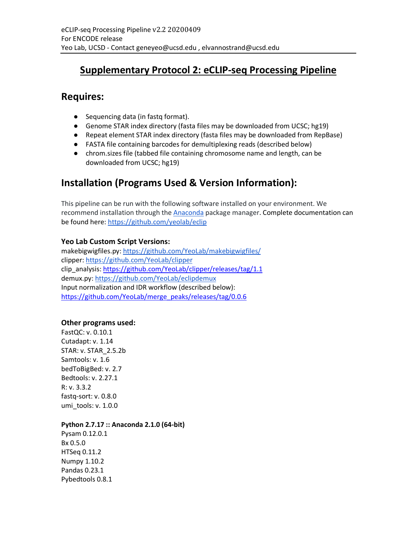# **Supplementary Protocol 2: eCLIP-seq Processing Pipeline**

### **Requires:**

- Sequencing data (in fastq format).
- Genome STAR index directory (fasta files may be downloaded from UCSC; hg19)
- Repeat element STAR index directory (fasta files may be downloaded from RepBase)
- FASTA file containing barcodes for demultiplexing reads (described below)
- chrom.sizes file (tabbed file containing chromosome name and length, can be downloaded from UCSC; hg19)

# **Installation (Programs Used & Version Information):**

This pipeline can be run with the following software installed on your environment. We recommend installation through the Anaconda package manager. Complete documentation can be found here: https://github.com/yeolab/eclip

### **Yeo Lab Custom Script Versions:**

makebigwigfiles.py: https://github.com/YeoLab/makebigwigfiles/ clipper: https://github.com/YeoLab/clipper clip\_analysis: https://github.com/YeoLab/clipper/releases/tag/1.1 demux.py: https://github.com/YeoLab/eclipdemux Input normalization and IDR workflow (described below): https://github.com/YeoLab/merge\_peaks/releases/tag/0.0.6

### **Other programs used:**

FastQC: v. 0.10.1 Cutadapt: v. 1.14 STAR: v. STAR\_2.5.2b Samtools: v. 1.6 bedToBigBed: v. 2.7 Bedtools: v. 2.27.1 R: v. 3.3.2 fastq-sort: v. 0.8.0 umi\_tools: v. 1.0.0

### **Python 2.7.17 :: Anaconda 2.1.0 (64-bit)**

Pysam 0.12.0.1 Bx 0.5.0 HTSeq 0.11.2 Numpy 1.10.2 Pandas 0.23.1 Pybedtools 0.8.1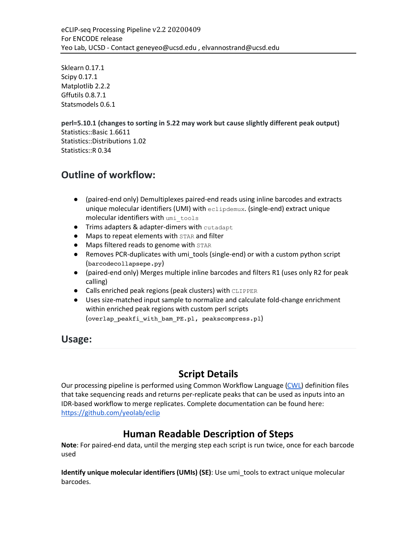Sklearn 0.17.1 Scipy 0.17.1 Matplotlib 2.2.2 Gffutils 0.8.7.1 Statsmodels 0.6.1

**perl=5.10.1 (changes to sorting in 5.22 may work but cause slightly different peak output)** Statistics::Basic 1.6611 Statistics::Distributions 1.02 Statistics::R 0.34

## **Outline of workflow:**

- (paired-end only) Demultiplexes paired-end reads using inline barcodes and extracts unique molecular identifiers (UMI) with eclipdemux. (single-end) extract unique molecular identifiers with umi\_tools
- Trims adapters & adapter-dimers with cutadapt
- Maps to repeat elements with STAR and filter
- Maps filtered reads to genome with STAR
- Removes PCR-duplicates with umi\_tools (single-end) or with a custom python script (barcodecollapsepe.py)
- (paired-end only) Merges multiple inline barcodes and filters R1 (uses only R2 for peak calling)
- Calls enriched peak regions (peak clusters) with CLIPPER
- Uses size-matched input sample to normalize and calculate fold-change enrichment within enriched peak regions with custom perl scripts (overlap\_peakfi\_with\_bam\_PE.pl, peakscompress.pl)

**Usage:**

# **Script Details**

Our processing pipeline is performed using Common Workflow Language (CWL) definition files that take sequencing reads and returns per-replicate peaks that can be used as inputs into an IDR-based workflow to merge replicates. Complete documentation can be found here: https://github.com/yeolab/eclip

# **Human Readable Description of Steps**

**Note**: For paired-end data, until the merging step each script is run twice, once for each barcode used

**Identify unique molecular identifiers (UMIs) (SE)**: Use umi\_tools to extract unique molecular barcodes.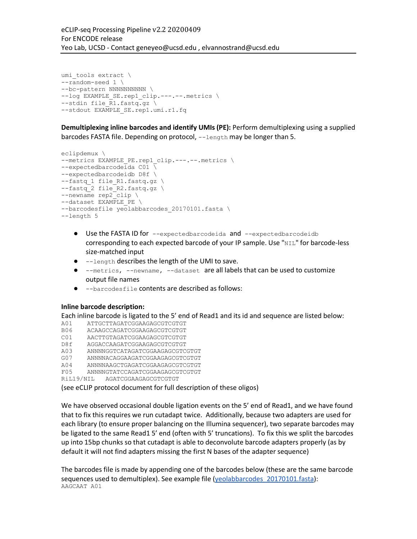```
umi tools extract \
--random-seed 1 \
--bc-pattern NNNNNNNNNN \
--log EXAMPLE SE.rep1 clip.---.--.metrics \
--stdin file \overline{R}1.fastq.gz \setminus--stdout EXAMPLE SE.rep1.umi.r1.fq
```
**Demultiplexing inline barcodes and identify UMIs (PE):** Perform demultiplexing using a supplied barcodes FASTA file. Depending on protocol, --length may be longer than 5.

```
eclipdemux \
--metrics EXAMPLE PE.rep1 clip.---.--.metrics \
-expectedbarcodeida C01 \overline{\setminus}--expectedbarcodeidb D8f \
--fastq 1 file R1.fastq.gz \
--fastq 2 file R2.fastq.gz \
--newname rep2 clip \
--dataset EXAMPLE PE \
--barcodesfile yeolabbarcodes 20170101.fasta \
--length 5
```
- Use the FASTA ID for --expectedbarcodeida and --expectedbarcodeidb corresponding to each expected barcode of your IP sample. Use "NIL" for barcode-less size-matched input
- --length describes the length of the UMI to save.
- --metrics, --newname, --dataset are all labels that can be used to customize output file names
- --barcodesfile contents are described as follows:

#### **Inline barcode description:**

Each inline barcode is ligated to the 5' end of Read1 and its id and sequence are listed below:

- A01 ATTGCTTAGATCGGAAGAGCGTCGTGT
- B06 ACAAGCCAGATCGGAAGAGCGTCGTGT
- C01 AACTTGTAGATCGGAAGAGCGTCGTGT
- D8f AGGACCAAGATCGGAAGAGCGTCGTGT
- A03 ANNNNGGTCATAGATCGGAAGAGCGTCGTGT
- G07 ANNNNACAGGAAGATCGGAAGAGCGTCGTGT
- A04 ANNNNAAGCTGAGATCGGAAGAGCGTCGTGT F05 ANNNNGTATCCAGATCGGAAGAGCGTCGTGT
- RiL19/NIL AGATCGGAAGAGCGTCGTGT

(see eCLIP protocol document for full description of these oligos)

We have observed occasional double ligation events on the 5' end of Read1, and we have found that to fix this requires we run cutadapt twice. Additionally, because two adapters are used for each library (to ensure proper balancing on the Illumina sequencer), two separate barcodes may be ligated to the same Read1 5' end (often with 5' truncations). To fix this we split the barcodes up into 15bp chunks so that cutadapt is able to deconvolute barcode adapters properly (as by default it will not find adapters missing the first N bases of the adapter sequence)

The barcodes file is made by appending one of the barcodes below (these are the same barcode sequences used to demultiplex). See example file (yeolabbarcodes\_20170101.fasta): AAGCAAT A01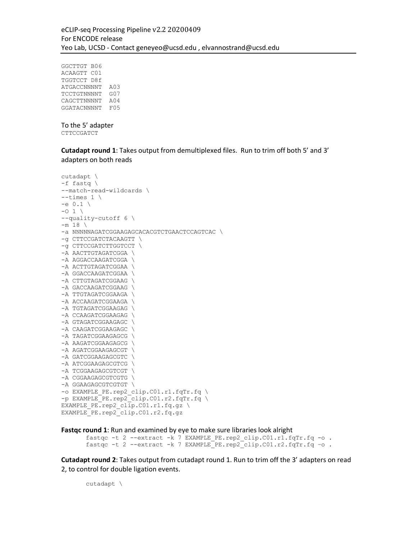GGCTTGT B06 ACAAGTT C01 TGGTCCT D8f ATGACCNNNNT A03 TCCTGTNNNNT G07 CAGCTTNNNNT A04 GGATACNNNNT F05

#### To the 5' adapter CTTCCGATCT

**Cutadapt round 1**: Takes output from demultiplexed files. Run to trim off both 5' and 3' adapters on both reads

```
cutadapt \
-f fastq \
--match-read-wildcards \
-times 1 \
-e 0.1 \
-0 1 \
--quality-cutoff 6 \
-m 18 \
-a NNNNNAGATCGGAAGAGCACACGTCTGAACTCCAGTCAC \
-g CTTCCGATCTACAAGTT \
-g CTTCCGATCTTGGTCCT \
-A AACTTGTAGATCGGA \
-A AGGACCAAGATCGGA \
-A ACTTGTAGATCGGAA \
-A GGACCAAGATCGGAA \
-A CTTGTAGATCGGAAG \
-A GACCAAGATCGGAAG \
-A TTGTAGATCGGAAGA \
-A ACCAAGATCGGAAGA \
-A TGTAGATCGGAAGAG \
-A CCAAGATCGGAAGAG \
-A GTAGATCGGAAGAGC \
-A CAAGATCGGAAGAGC \
-A TAGATCGGAAGAGCG \
-A AAGATCGGAAGAGCG \
-A AGATCGGAAGAGCGT \
-A GATCGGAAGAGCGTC \
-A ATCGGAAGAGCGTCG \
-A TCGGAAGAGCGTCGT \
-A CGGAAGAGCGTCGTG \
-A GGAAGAGCGTCGTGT \
-o EXAMPLE_PE.rep2_clip.C01.r1.fqTr.fq \
-p EXAMPLE_PE.rep2_clip.C01.r2.fqTr.fq \
EXAMPLE PE.rep2 clip.C01.r1.fq.gz \
EXAMPLE PE.rep2 clip.C01.r2.fq.gz
```
**Fastqc round 1**: Run and examined by eye to make sure libraries look alright

fastqc -t 2 --extract -k 7 EXAMPLE PE.rep2 clip.C01.r1.fqTr.fq -o . fastqc -t 2 --extract -k 7 EXAMPLE\_PE.rep2\_clip.C01.r2.fqTr.fq –o .

**Cutadapt round 2**: Takes output from cutadapt round 1. Run to trim off the 3' adapters on read 2, to control for double ligation events.

cutadapt \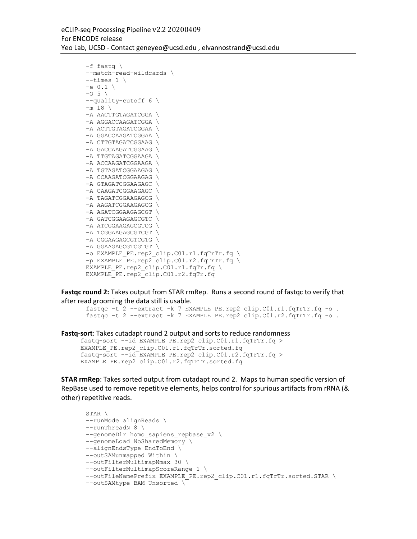```
-f fastq \
--match-read-wildcards \
--times 1 \ \backslash-e 0.1-0 5 \backslash--quality-cutoff 6 \
-m 18 \
-A AACTTGTAGATCGGA \
-A AGGACCAAGATCGGA \
-A ACTTGTAGATCGGAA \
-A GGACCAAGATCGGAA \
-A CTTGTAGATCGGAAG \
-A GACCAAGATCGGAAG \
-A TTGTAGATCGGAAGA \
-A ACCAAGATCGGAAGA \
-A TGTAGATCGGAAGAG \
-A CCAAGATCGGAAGAG \
-A GTAGATCGGAAGAGC \
-A CAAGATCGGAAGAGC \
-A TAGATCGGAAGAGCG \
-A AAGATCGGAAGAGCG \
-A AGATCGGAAGAGCGT \
-A GATCGGAAGAGCGTC \
-A ATCGGAAGAGCGTCG \
-A TCGGAAGAGCGTCGT \
-A CGGAAGAGCGTCGTG \
-A GGAAGAGCGTCGTGT \
-o EXAMPLE PE.rep2 clip.C01.r1.fqTrTr.fq \
-p EXAMPLE PE.rep2 clip.C01.r2.fqTrTr.fq \
EXAMPLE PE.rep2 clip.C01.r1.fqTr.fq \setminusEXAMPLE_PE.rep2_clip.C01.r2.fqTr.fq
```
**Fastqc round 2:** Takes output from STAR rmRep. Runs a second round of fastqc to verify that after read grooming the data still is usable.

```
fastqc -t 2 --extract -k 7 EXAMPLE PE.rep2 clip.C01.r1.fqTrTr.fq -o .
fastqc -t 2 --extract -k 7 EXAMPLE_PE.rep2_clip.C01.r2.fqTrTr.fq –o .
```

```
Fastq-sort: Takes cutadapt round 2 output and sorts to reduce randomness
```

```
fastq-sort --id EXAMPLE_PE.rep2_clip.C01.r1.fqTrTr.fq > 
EXAMPLE PE.rep2 clip.C01.r1.fqTrTr.sorted.fq
fastq-sort --id EXAMPLE_PE.rep2_clip.C01.r2.fqTrTr.fq > 
EXAMPLE PE.rep2 clip.C01.r2.fqTrTr.sorted.fq
```
**STAR rmRep**: Takes sorted output from cutadapt round 2. Maps to human specific version of RepBase used to remove repetitive elements, helps control for spurious artifacts from rRNA (& other) repetitive reads.

```
STAR \
--runMode alignReads \
--runThreadN 8 \
--genomeDir homo sapiens repbase v2 \
--genomeLoad NoSharedMemory \
--alignEndsType EndToEnd \
--outSAMunmapped Within \
--outFilterMultimapNmax 30 \
--outFilterMultimapScoreRange 1 \
--outFileNamePrefix EXAMPLE PE.rep2 clip.C01.r1.fqTrTr.sorted.STAR \
--outSAMtype BAM Unsorted \
```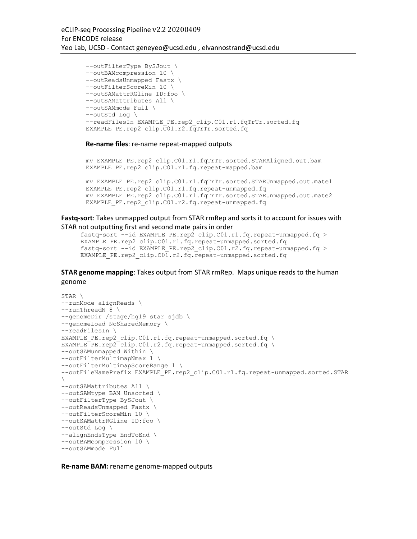```
--outFilterType BySJout \
--outBAMcompression 10 \
--outReadsUnmapped Fastx \
--outFilterScoreMin 10 \
--outSAMattrRGline ID:foo \
--outSAMattributes All \
--outSAMmode Full \
--outStd Log \
--readFilesIn EXAMPLE PE.rep2 clip.C01.r1.fqTrTr.sorted.fq
EXAMPLE PE.rep2 clip.C01.r2.fqTrTr.sorted.fq
```
#### **Re-name files**: re-name repeat-mapped outputs

```
mv EXAMPLE_PE.rep2_clip.C01.r1.fqTrTr.sorted.STARAligned.out.bam 
EXAMPLE PE.rep2 clip.C01.r1.fq.repeat-mapped.bam
```

```
mv EXAMPLE_PE.rep2_clip.C01.r1.fqTrTr.sorted.STARUnmapped.out.mate1 
EXAMPLE PE.rep2 clip.C01.r1.fq.repeat-unmapped.fq
mv EXAMPLE_PE.rep2_clip.C01.r1.fqTrTr.sorted.STARUnmapped.out.mate2 
EXAMPLE PE.rep2 clip.C01.r2.fq.repeat-unmapped.fq
```
**Fastq-sort**: Takes unmapped output from STAR rmRep and sorts it to account for issues with STAR not outputting first and second mate pairs in order

```
fastq-sort --id EXAMPLE PE.rep2 clip.C01.r1.fq.repeat-unmapped.fq >
EXAMPLE PE.rep2 clip.C01.r1.fq.repeat-unmapped.sorted.fq
fastq-sort --id EXAMPLE_PE.rep2_clip.C01.r2.fq.repeat-unmapped.fq > 
EXAMPLE PE.rep2 clip.C01.r2.fq.repeat-unmapped.sorted.fq
```
**STAR genome mapping**: Takes output from STAR rmRep. Maps unique reads to the human genome

```
STAR \
--runMode alignReads \
--runThreadN 8 \ \ \ \ \--genomeDir /stage/hg19 star sjdb \
--genomeLoad NoSharedMemory \
--readFilesIn \
EXAMPLE PE.rep2 clip.C01.r1.fq.repeat-unmapped.sorted.fq \
EXAMPLE_PE.rep2_clip.C01.r2.fq.repeat-unmapped.sorted.fq \
--outSAMunmapped Within \
--outFilterMultimapNmax 1 \
--outFilterMultimapScoreRange 1 \
--outFileNamePrefix EXAMPLE PE.rep2 clip.C01.r1.fq.repeat-unmapped.sorted.STAR
\setminus--outSAMattributes All \
--outSAMtype BAM Unsorted \
--outFilterType BySJout \
--outReadsUnmapped Fastx \
--outFilterScoreMin 10 \
--outSAMattrRGline ID:foo \
--outStd Log \
--alignEndsType EndToEnd \
--outBAMcompression 10 \
--outSAMmode Full
```
**Re-name BAM:** rename genome-mapped outputs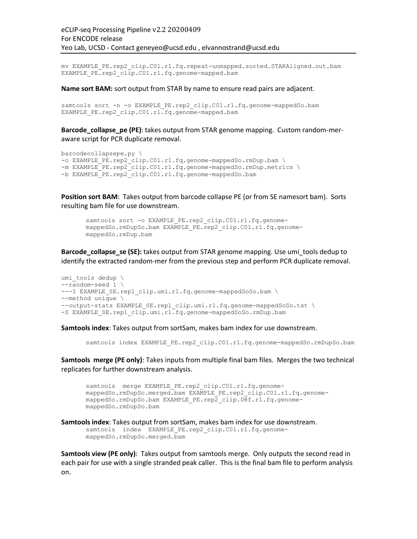mv EXAMPLE\_PE.rep2\_clip.C01.r1.fq.repeat-unmapped.sorted.STARAligned.out.bam EXAMPLE PE.rep2 clip.C01.r1.fq.genome-mapped.bam

#### **Name sort BAM:** sort output from STAR by name to ensure read pairs are adjacent.

```
samtools sort -n -o EXAMPLE PE.rep2 clip.C01.r1.fq.genome-mappedSo.bam
EXAMPLE PE.rep2 clip.C01.r1.fq.genome-mapped.bam
```
**Barcode\_collapse\_pe (PE)**: takes output from STAR genome mapping. Custom random-meraware script for PCR duplicate removal.

```
barcodecollapsepe.py \
-o EXAMPLE PE.rep2 clip.C01.r1.fq.genome-mappedSo.rmDup.bam \
-m EXAMPLE_PE.rep2_clip.C01.r1.fq.genome-mappedSo.rmDup.metrics \
-b EXAMPLE PE.rep2 clip.C01.r1.fq.genome-mappedSo.bam
```
**Position sort BAM**: Takes output from barcode collapse PE (or from SE namesort bam). Sorts resulting bam file for use downstream.

```
samtools sort -o EXAMPLE PE.rep2 clip.C01.r1.fq.genome-
mappedSo.rmDupSo.bam EXAMPLE_PE.rep2_clip.C01.r1.fq.genome-
mappedSo.rmDup.bam
```
**Barcode\_collapse\_se (SE):** takes output from STAR genome mapping. Use umi\_tools dedup to identify the extracted random-mer from the previous step and perform PCR duplicate removal.

```
umi tools dedup \
--random-seed 1 \
---I EXAMPLE SE.rep1 clip.umi.r1.fq.genome-mappedSoSo.bam \
--method unique \
--output-stats EXAMPLE SE.rep1 clip.umi.r1.fq.genome-mappedSoSo.txt \
-S EXAMPLE SE.rep1 clip.umi.r1.fq.genome-mappedSoSo.rmDup.bam
```
**Samtools index**: Takes output from sortSam, makes bam index for use downstream.

samtools index EXAMPLE PE.rep2 clip.C01.r1.fq.genome-mappedSo.rmDupSo.bam

**Samtools merge (PE only)**: Takes inputs from multiple final bam files. Merges the two technical replicates for further downstream analysis.

```
samtools merge EXAMPLE PE.rep2 clip.C01.r1.fq.genome-
mappedSo.rmDupSo.merged.bam EXAMPLE_PE.rep2_clip.C01.r1.fq.genome-
mappedSo.rmDupSo.bam EXAMPLE_PE.rep2_clip.D8f.r1.fq.genome-
mappedSo.rmDupSo.bam
```

```
Samtools index: Takes output from sortSam, makes bam index for use downstream. 
       samtools index EXAMPLE PE.rep2 clip.C01.r1.fq.genome-
      mappedSo.rmDupSo.merged.bam
```
**Samtools view (PE only)**: Takes output from samtools merge. Only outputs the second read in each pair for use with a single stranded peak caller. This is the final bam file to perform analysis on.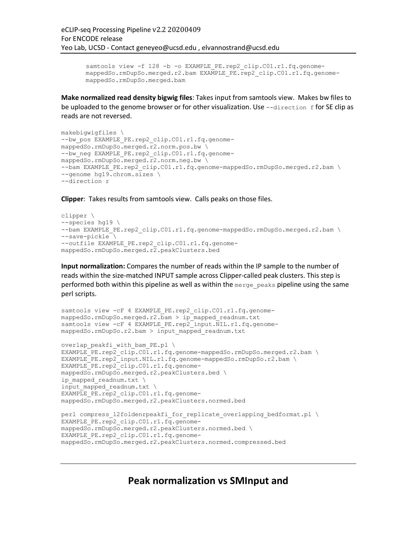```
samtools view -f 128 -b -o EXAMPLE PE.rep2 clip.C01.r1.fq.genome-
mappedSo.rmDupSo.merged.r2.bam EXAMPLE_PE.rep2_clip.C01.r1.fq.genome-
mappedSo.rmDupSo.merged.bam
```
**Make normalized read density bigwig files**: Takes input from samtools view. Makes bw files to be uploaded to the genome browser or for other visualization. Use  $-\text{direction }$  f for SE clip as reads are not reversed.

```
makebigwigfiles \
--bw pos EXAMPLE PE.rep2 clip.C01.r1.fq.genome-
mappedSo.rmDupSo.merged.r2.norm.pos.bw \
--bw neg EXAMPLE PE.rep2 clip.C01.r1.fq.genome-
mappedSo.rmDupSo.merged.r2.norm.neg.bw \
--bam EXAMPLE PE.rep2 clip.C01.r1.fq.genome-mappedSo.rmDupSo.merged.r2.bam \
--genome hg19.chrom.sizes \
--direction r
```
**Clipper**: Takes results from samtools view. Calls peaks on those files.

```
clipper \
--species hg19 \
--bam EXAMPLE PE.rep2 clip.C01.r1.fq.genome-mappedSo.rmDupSo.merged.r2.bam \
--save-pickle \
--outfile EXAMPLE PE.rep2 clip.C01.r1.fq.genome-
mappedSo.rmDupSo.merged.r2.peakClusters.bed
```
**Input normalization:** Compares the number of reads within the IP sample to the number of reads within the size-matched INPUT sample across Clipper-called peak clusters. This step is performed both within this pipeline as well as within the  $\text{merge}$  peaks pipeline using the same perl scripts.

```
samtools view -cF 4 EXAMPLE PE.rep2 clip.C01.r1.fq.genome-
mappedSo.rmDupSo.merged.r2.bam > ip_mapped_readnum.txt
samtools view -cF 4 EXAMPLE_PE.rep2_input.NIL.r1.fq.genome-
mappedSo.rmDupSo.r2.bam > input_mapped_readnum.txt
overlap_peakfi_with_bam_PE.pl \
EXAMPLE_PE.rep2_clip.C01.r1.fq.genome-mappedSo.rmDupSo.merged.r2.bam \
EXAMPLE_PE.rep2_input.NIL.r1.fq.genome-mappedSo.rmDupSo.r2.bam \
EXAMPLE_PE.rep2_clip.C01.r1.fq.genome-
mappedSo.rmDupSo.merged.r2.peakClusters.bed \
ip mapped readnum.txt \
input mapped readnum.txt \setminusEXAMPLE PE.rep2 clip.C01.r1.fq.genome-
mappedSo.rmDupSo.merged.r2.peakClusters.normed.bed
perl compress l2foldenrpeakfi for replicate overlapping bedformat.pl \setminusEXAMPLE_PE.rep2_clip.C01.r1.fq.genome-
mappedSo.rmDupSo.merged.r2.peakClusters.normed.bed \
EXAMPLE_PE.rep2_clip.C01.r1.fq.genome-
```
mappedSo.rmDupSo.merged.r2.peakClusters.normed.compressed.bed

**Peak normalization vs SMInput and**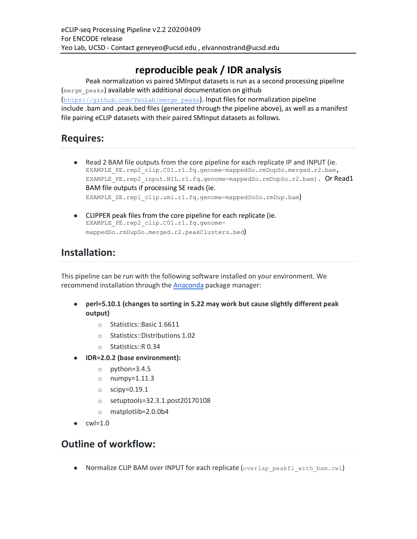# **reproducible peak / IDR analysis**

Peak normalization vs paired SMInput datasets is run as a second processing pipeline (merge\_peaks) available with additional documentation on github (https://github.com/YeoLab/merge\_peaks). Input files for normalization pipeline include .bam and .peak.bed files (generated through the pipeline above), as well as a manifest file pairing eCLIP datasets with their paired SMInput datasets as follows.

## **Requires:**

- Read 2 BAM file outputs from the core pipeline for each replicate IP and INPUT (ie. EXAMPLE\_PE.rep2\_clip.C01.r1.fq.genome-mappedSo.rmDupSo.merged.r2.bam, EXAMPLE PE.rep2 input.NIL.r1.fq.genome-mappedSo.rmDupSo.r2.bam). Or Read1 BAM file outputs if processing SE reads (ie. EXAMPLE\_SE.rep1\_clip.umi.r1.fq.genome-mappedSoSo.rmDup.bam)
- CLIPPER peak files from the core pipeline for each replicate (ie. EXAMPLE\_PE.rep2\_clip.C01.r1.fq.genomemappedSo.rmDupSo.merged.r2.peakClusters.bed)

# **Installation:**

This pipeline can be run with the following software installed on your environment. We recommend installation through the Anaconda package manager:

- **perl=5.10.1 (changes to sorting in 5.22 may work but cause slightly different peak output)**
	- o Statistics::Basic 1.6611
	- o Statistics::Distributions 1.02
	- o Statistics::R 0.34
- **IDR=2.0.2 (base environment):**
	- o python=3.4.5
	- o numpy=1.11.3
	- o scipy=0.19.1
	- o setuptools=32.3.1.post20170108
	- o matplotlib=2.0.0b4
- $\bullet$  cwl=1.0

## **Outline of workflow:**

● Normalize CLIP BAM over INPUT for each replicate (overlap\_peakfi\_with\_bam.cwl)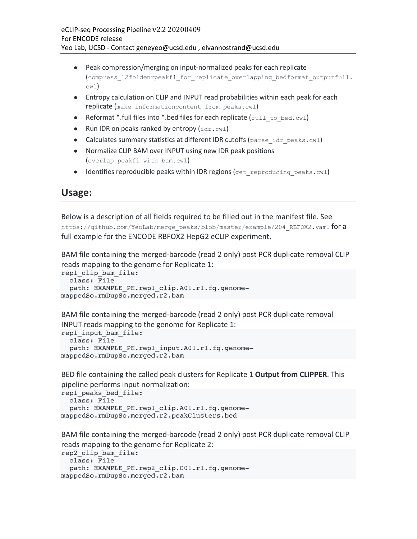- Peak compression/merging on input-normalized peaks for each replicate (compress\_l2foldenrpeakfi\_for\_replicate\_overlapping\_bedformat\_outputfull. cwl)
- Entropy calculation on CLIP and INPUT read probabilities within each peak for each replicate (make informationcontent from peaks.cwl)
- Reformat \*.full files into \*.bed files for each replicate  $(full to bed.cwl)$
- Run IDR on peaks ranked by entropy  $(idr.cwl)$
- Calculates summary statistics at different IDR cutoffs (parse idr peaks.cwl)
- Normalize CLIP BAM over INPUT using new IDR peak positions (overlap\_peakfi\_with\_bam.cwl)
- $\bullet$  Identifies reproducible peaks within IDR regions (get reproducing peaks.cwl)

### **Usage:**

Below is a description of all fields required to be filled out in the manifest file. See

https://github.com/YeoLab/merge\_peaks/blob/master/example/204\_RBFOX2.yaml for a full example for the ENCODE RBFOX2 HepG2 eCLIP experiment.

BAM file containing the merged-barcode (read 2 only) post PCR duplicate removal CLIP reads mapping to the genome for Replicate 1:

```
rep1_clip_bam_file:
  class: File
   path: EXAMPLE_PE.rep1_clip.A01.r1.fq.genome-
mappedSo.rmDupSo.merged.r2.bam
```
BAM file containing the merged-barcode (read 2 only) post PCR duplicate removal INPUT reads mapping to the genome for Replicate 1:

```
rep1_input_bam_file:
  class: File
  path: EXAMPLE PE.rep1 input.A01.r1.fq.genome-
mappedSo.rmDupSo.merged.r2.bam
```
BED file containing the called peak clusters for Replicate 1 **Output from CLIPPER**. This pipeline performs input normalization:

```
rep1_peaks_bed_file:
  class: File
 path: EXAMPLE_PE.rep1_clip.A01.r1.fq.genome-
mappedSo.rmDupSo.merged.r2.peakClusters.bed
```
BAM file containing the merged-barcode (read 2 only) post PCR duplicate removal CLIP reads mapping to the genome for Replicate 2:

```
rep2_clip_bam_file:
  class: File
 path: EXAMPLE PE.rep2 clip.C01.r1.fq.genome-
mappedSo.rmDupSo.merged.r2.bam
```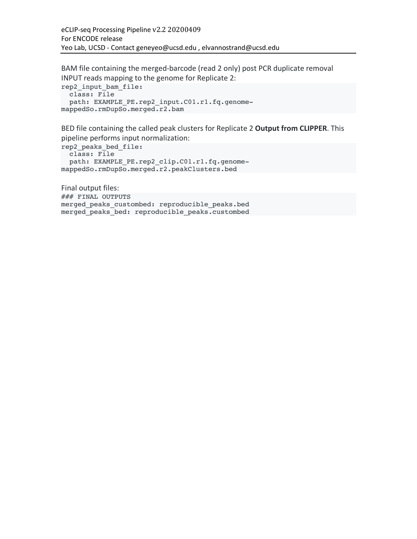BAM file containing the merged-barcode (read 2 only) post PCR duplicate removal INPUT reads mapping to the genome for Replicate 2: rep2\_input\_bam\_file: class: File path: EXAMPLE PE.rep2 input.C01.r1.fq.genomemappedSo.rmDupSo.merged.r2.bam

BED file containing the called peak clusters for Replicate 2 **Output from CLIPPER**. This pipeline performs input normalization:

rep2\_peaks\_bed\_file: class: File path: EXAMPLE PE.rep2 clip.C01.r1.fq.genomemappedSo.rmDupSo.merged.r2.peakClusters.bed

Final output files: ### FINAL OUTPUTS merged peaks custombed: reproducible peaks.bed merged peaks bed: reproducible peaks.custombed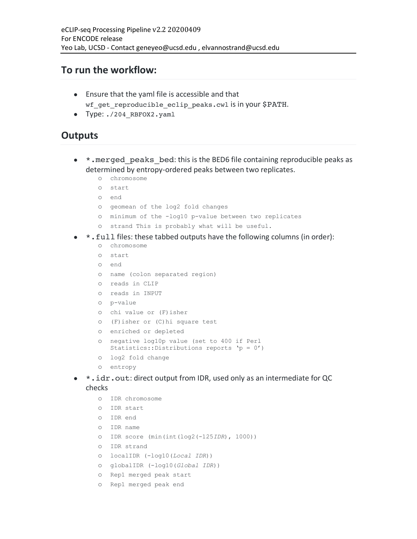### **To run the workflow:**

- Ensure that the yaml file is accessible and that wf\_get\_reproducible\_eclip\_peaks.cwl is in your \$PATH.
- Type: ./204 RBFOX2.yaml

## **Outputs**

- \*. merged peaks bed: this is the BED6 file containing reproducible peaks as determined by entropy-ordered peaks between two replicates.
	- o chromosome
	- o start
	- o end
	- o geomean of the log2 fold changes
	- o minimum of the -log10 p-value between two replicates
	- o strand This is probably what will be useful.
- $\bullet$  \*. full files: these tabbed outputs have the following columns (in order):
	- o chromosome
	- o start
	- o end
	- o name (colon separated region)
	- o reads in CLIP
	- o reads in INPUT
	- o p-value
	- o chi value or (F)isher
	- o (F)isher or (C)hi square test
	- o enriched or depleted
	- o negative log10p value (set to 400 if Perl Statistics::Distributions reports 'p = 0')
	- o log2 fold change
	- o entropy
- \*.idr.out: direct output from IDR, used only as an intermediate for QC checks
	- o IDR chromosome
	- o IDR start
	- o IDR end
	- o IDR name
	- o IDR score (min(int(log2(-125*IDR*), 1000))
	- o IDR strand
	- o localIDR (-log10(*Local IDR*))
	- o globalIDR (-log10(*Global IDR*))
	- o Rep1 merged peak start
	- o Rep1 merged peak end